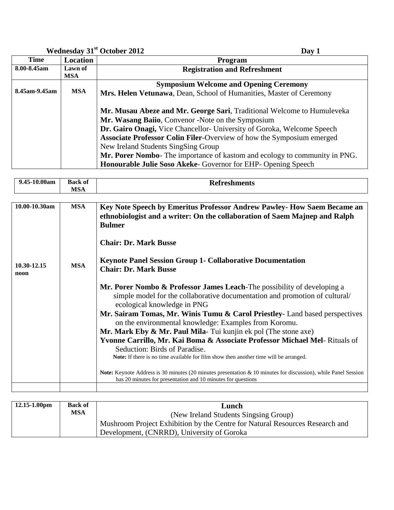## **Wednesday 31st October 2012 Day 1**

| <b>Time</b>   | Location   | <b>Program</b>                                                                                                                                                                                                                                                                                                                                                                                                                                                                     |
|---------------|------------|------------------------------------------------------------------------------------------------------------------------------------------------------------------------------------------------------------------------------------------------------------------------------------------------------------------------------------------------------------------------------------------------------------------------------------------------------------------------------------|
| 8.00-8.45am   | Lawn of    | <b>Registration and Refreshment</b>                                                                                                                                                                                                                                                                                                                                                                                                                                                |
|               | <b>MSA</b> |                                                                                                                                                                                                                                                                                                                                                                                                                                                                                    |
|               |            | <b>Symposium Welcome and Opening Ceremony</b>                                                                                                                                                                                                                                                                                                                                                                                                                                      |
| 8.45am-9.45am | <b>MSA</b> | Mrs. Helen Vetunawa, Dean, School of Humanities, Master of Ceremony                                                                                                                                                                                                                                                                                                                                                                                                                |
|               |            | Mr. Musau Abeze and Mr. George Sari, Traditional Welcome to Humuleveka<br>Mr. Wasang Baiio, Convenor -Note on the Symposium<br>Dr. Gairo Onagi, Vice Chancellor- University of Goroka, Welcome Speech<br><b>Associate Professor Colin Filer-Overview of how the Symposium emerged</b><br>New Ireland Students SingSing Group<br>Mr. Porer Nombo- The importance of kastom and ecology to community in PNG.<br><b>Honourable Julie Soso Akeke-</b> Governor for EHP- Opening Speech |

| $\mathbf{a}$<br>ч | <b>Back of</b>                | eshments |
|-------------------|-------------------------------|----------|
|                   |                               |          |
|                   | $\overline{r}$ $\overline{r}$ |          |
|                   | <b>IVLOAL</b>                 |          |

| 10.00-10.30am       | <b>MSA</b> | Key Note Speech by Emeritus Professor Andrew Pawley- How Saem Became an<br>ethnobiologist and a writer: On the collaboration of Saem Majnep and Ralph<br><b>Bulmer</b>                                                                                                                                                                                                                                                                                                                                                                                                                                                                                                                                                                                                                               |
|---------------------|------------|------------------------------------------------------------------------------------------------------------------------------------------------------------------------------------------------------------------------------------------------------------------------------------------------------------------------------------------------------------------------------------------------------------------------------------------------------------------------------------------------------------------------------------------------------------------------------------------------------------------------------------------------------------------------------------------------------------------------------------------------------------------------------------------------------|
|                     |            | <b>Chair: Dr. Mark Busse</b>                                                                                                                                                                                                                                                                                                                                                                                                                                                                                                                                                                                                                                                                                                                                                                         |
| 10.30-12.15<br>noon | <b>MSA</b> | <b>Keynote Panel Session Group 1- Collaborative Documentation</b><br><b>Chair: Dr. Mark Busse</b>                                                                                                                                                                                                                                                                                                                                                                                                                                                                                                                                                                                                                                                                                                    |
|                     |            | Mr. Porer Nombo & Professor James Leach-The possibility of developing a<br>simple model for the collaborative documentation and promotion of cultural/<br>ecological knowledge in PNG<br>Mr. Sairam Tomas, Mr. Winis Tumu & Carol Priestley- Land based perspectives<br>on the environmental knowledge: Examples from Koromu.<br>Mr. Mark Eby $\&$ Mr. Paul Mila-Tui kunjin ek pol (The stone axe)<br>Yvonne Carrillo, Mr. Kai Boma & Associate Professor Michael Mel- Rituals of<br>Seduction: Birds of Paradise.<br><b>Note:</b> If there is no time available for film show then another time will be arranged.<br>Note: Keynote Address is 30 minutes (20 minutes presentation & 10 minutes for discussion), while Panel Session<br>has 20 minutes for presentation and 10 minutes for questions |
|                     |            |                                                                                                                                                                                                                                                                                                                                                                                                                                                                                                                                                                                                                                                                                                                                                                                                      |

| $12.15 - 1.00$ pm | <b>Back of</b><br>MSA | Lunch                                                                        |
|-------------------|-----------------------|------------------------------------------------------------------------------|
|                   |                       | (New Ireland Students Singsing Group)                                        |
|                   |                       | Mushroom Project Exhibition by the Centre for Natural Resources Research and |
|                   |                       | Development, (CNRRD), University of Goroka                                   |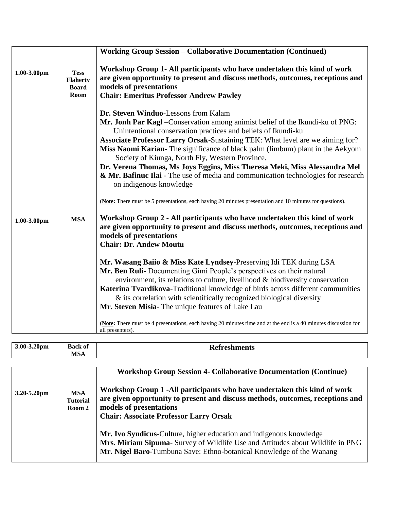|             |                                                        | <b>Working Group Session - Collaborative Documentation (Continued)</b>                                                                                                                                                                                                                                                                                                                                                                                                                                                                                                                                                                                                                                                                                                                                                                                                                                                                                                                                                                                                                                                                                                                                                                                                                                                                                                                                                                                                                                                                   |
|-------------|--------------------------------------------------------|------------------------------------------------------------------------------------------------------------------------------------------------------------------------------------------------------------------------------------------------------------------------------------------------------------------------------------------------------------------------------------------------------------------------------------------------------------------------------------------------------------------------------------------------------------------------------------------------------------------------------------------------------------------------------------------------------------------------------------------------------------------------------------------------------------------------------------------------------------------------------------------------------------------------------------------------------------------------------------------------------------------------------------------------------------------------------------------------------------------------------------------------------------------------------------------------------------------------------------------------------------------------------------------------------------------------------------------------------------------------------------------------------------------------------------------------------------------------------------------------------------------------------------------|
| 1.00-3.00pm | <b>Tess</b><br><b>Flaherty</b><br><b>Board</b><br>Room | Workshop Group 1- All participants who have undertaken this kind of work<br>are given opportunity to present and discuss methods, outcomes, receptions and<br>models of presentations<br><b>Chair: Emeritus Professor Andrew Pawley</b>                                                                                                                                                                                                                                                                                                                                                                                                                                                                                                                                                                                                                                                                                                                                                                                                                                                                                                                                                                                                                                                                                                                                                                                                                                                                                                  |
| 1.00-3.00pm | <b>MSA</b>                                             | Dr. Steven Winduo-Lessons from Kalam<br>Mr. Jonh Par Kagl - Conservation among animist belief of the Ikundi-ku of PNG:<br>Unintentional conservation practices and beliefs of Ikundi-ku<br>Associate Professor Larry Orsak-Sustaining TEK: What level are we aiming for?<br>Miss Naomi Karian-The significance of black palm (limbum) plant in the Aekyom<br>Society of Kiunga, North Fly, Western Province.<br>Dr. Verena Thomas, Ms Joys Eggins, Miss Theresa Meki, Miss Alessandra Mel<br>& Mr. Bafinuc Ilai - The use of media and communication technologies for research<br>on indigenous knowledge<br>(Note: There must be 5 presentations, each having 20 minutes presentation and 10 minutes for questions).<br>Workshop Group 2 - All participants who have undertaken this kind of work<br>are given opportunity to present and discuss methods, outcomes, receptions and<br>models of presentations<br><b>Chair: Dr. Andew Moutu</b><br>Mr. Wasang Baiio & Miss Kate Lyndsey-Preserving Idi TEK during LSA<br>Mr. Ben Ruli- Documenting Gimi People's perspectives on their natural<br>environment, its relations to culture, livelihood & biodiversity conservation<br>Katerina Tvardikova-Traditional knowledge of birds across different communities<br>& its correlation with scientifically recognized biological diversity<br>Mr. Steven Misia- The unique features of Lake Lau<br>(Note: There must be 4 presentations, each having 20 minutes time and at the end is a 40 minutes discussion for<br>all presenters). |

| $3.00 - 3.20$ pm | <b>Back of</b><br>$\mathbf{r}$ $\sim$<br>IVIDA | <b>Refreshments</b> |
|------------------|------------------------------------------------|---------------------|
|------------------|------------------------------------------------|---------------------|

| 3.20-5.20pm | <b>MSA</b><br><b>Tutorial</b><br>Room 2 | <b>Workshop Group Session 4- Collaborative Documentation (Continue)</b><br>Workshop Group 1 -All participants who have undertaken this kind of work<br>are given opportunity to present and discuss methods, outcomes, receptions and<br>models of presentations<br><b>Chair: Associate Professor Larry Orsak</b> |
|-------------|-----------------------------------------|-------------------------------------------------------------------------------------------------------------------------------------------------------------------------------------------------------------------------------------------------------------------------------------------------------------------|
|             |                                         | Mr. Ivo Syndicus-Culture, higher education and indigenous knowledge<br>Mrs. Miriam Sipuma- Survey of Wildlife Use and Attitudes about Wildlife in PNG<br>Mr. Nigel Baro-Tumbuna Save: Ethno-botanical Knowledge of the Wanang                                                                                     |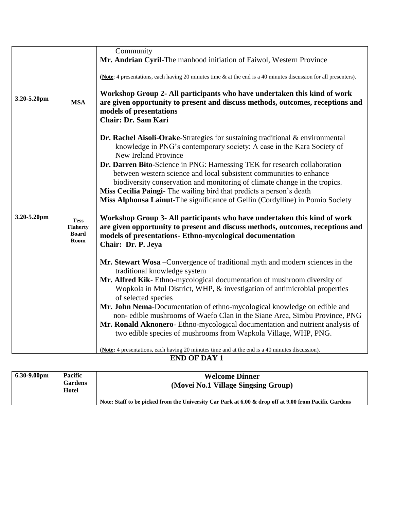|             |                                                        | Community                                                                                                                                                                                                                                    |
|-------------|--------------------------------------------------------|----------------------------------------------------------------------------------------------------------------------------------------------------------------------------------------------------------------------------------------------|
|             |                                                        | Mr. Andrian Cyril-The manhood initiation of Faiwol, Western Province                                                                                                                                                                         |
|             |                                                        | (Note: 4 presentations, each having 20 minutes time $\&$ at the end is a 40 minutes discussion for all presenters).                                                                                                                          |
| 3.20-5.20pm | <b>MSA</b>                                             | Workshop Group 2- All participants who have undertaken this kind of work<br>are given opportunity to present and discuss methods, outcomes, receptions and<br>models of presentations<br><b>Chair: Dr. Sam Kari</b>                          |
|             |                                                        | Dr. Rachel Aisoli-Orake-Strategies for sustaining traditional & environmental<br>knowledge in PNG's contemporary society: A case in the Kara Society of<br>New Ireland Province                                                              |
|             |                                                        | Dr. Darren Bito-Science in PNG: Harnessing TEK for research collaboration<br>between western science and local subsistent communities to enhance                                                                                             |
|             |                                                        | biodiversity conservation and monitoring of climate change in the tropics.<br>Miss Cecilia Paingi- The wailing bird that predicts a person's death                                                                                           |
|             |                                                        | Miss Alphonsa Lainut-The significance of Gellin (Cordylline) in Pomio Society                                                                                                                                                                |
|             |                                                        |                                                                                                                                                                                                                                              |
| 3.20-5.20pm | <b>Tess</b><br><b>Flaherty</b><br><b>Board</b><br>Room | Workshop Group 3- All participants who have undertaken this kind of work<br>are given opportunity to present and discuss methods, outcomes, receptions and<br>models of presentations- Ethno-mycological documentation<br>Chair: Dr. P. Jeya |
|             |                                                        | Mr. Stewart Wosa – Convergence of traditional myth and modern sciences in the<br>traditional knowledge system                                                                                                                                |
|             |                                                        | Mr. Alfred Kik- Ethno-mycological documentation of mushroom diversity of                                                                                                                                                                     |
|             |                                                        | Wopkola in Mul District, WHP, & investigation of antimicrobial properties                                                                                                                                                                    |
|             |                                                        | of selected species<br>Mr. John Nema-Documentation of ethno-mycological knowledge on edible and                                                                                                                                              |
|             |                                                        | non-edible mushrooms of Waefo Clan in the Siane Area, Simbu Province, PNG                                                                                                                                                                    |
|             |                                                        | Mr. Ronald Aknonero- Ethno-mycological documentation and nutrient analysis of                                                                                                                                                                |
|             |                                                        | two edible species of mushrooms from Wapkola Village, WHP, PNG.                                                                                                                                                                              |
|             |                                                        | (Note: 4 presentations, each having 20 minutes time and at the end is a 40 minutes discussion).                                                                                                                                              |

**END OF DAY 1**

| $6.30 - 9.00$ pm | Pacific<br><b>Gardens</b><br>Hotel | <b>Welcome Dinner</b><br>(Movei No.1 Village Singsing Group)                                          |
|------------------|------------------------------------|-------------------------------------------------------------------------------------------------------|
|                  |                                    | Note: Staff to be picked from the University Car Park at 6.00 & drop off at 9.00 from Pacific Gardens |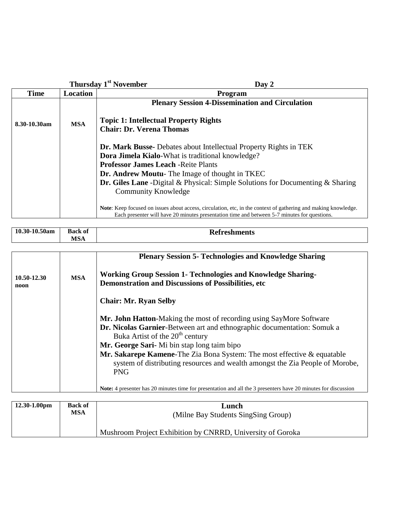|              |                 | Thursday 1 <sup>st</sup> November<br>Day 2                                                                                                                                                                                                                                                                                                                  |
|--------------|-----------------|-------------------------------------------------------------------------------------------------------------------------------------------------------------------------------------------------------------------------------------------------------------------------------------------------------------------------------------------------------------|
| <b>Time</b>  | <b>Location</b> | <b>Program</b>                                                                                                                                                                                                                                                                                                                                              |
|              |                 | <b>Plenary Session 4-Dissemination and Circulation</b>                                                                                                                                                                                                                                                                                                      |
| 8.30-10.30am | <b>MSA</b>      | <b>Topic 1: Intellectual Property Rights</b>                                                                                                                                                                                                                                                                                                                |
|              |                 | <b>Chair: Dr. Verena Thomas</b>                                                                                                                                                                                                                                                                                                                             |
|              |                 | <b>Dr. Mark Busse-</b> Debates about Intellectual Property Rights in TEK<br>Dora Jimela Kialo-What is traditional knowledge?<br><b>Professor James Leach - Reite Plants</b><br><b>Dr. Andrew Moutu-</b> The Image of thought in TKEC<br><b>Dr. Giles Lane</b> -Digital & Physical: Simple Solutions for Documenting & Sharing<br><b>Community Knowledge</b> |
|              |                 | <b>Note:</b> Keep focused on issues about access, circulation, etc, in the context of gathering and making knowledge.<br>Each presenter will have 20 minutes presentation time and between 5-7 minutes for questions.                                                                                                                                       |

| 10.30-10.50am       | <b>Back of</b><br><b>MSA</b> | <b>Refreshments</b>                                                                                                                                                                                                                                                                                                                                                                                                              |
|---------------------|------------------------------|----------------------------------------------------------------------------------------------------------------------------------------------------------------------------------------------------------------------------------------------------------------------------------------------------------------------------------------------------------------------------------------------------------------------------------|
|                     |                              | <b>Plenary Session 5- Technologies and Knowledge Sharing</b>                                                                                                                                                                                                                                                                                                                                                                     |
| 10.50-12.30<br>noon | <b>MSA</b>                   | <b>Working Group Session 1- Technologies and Knowledge Sharing-</b><br><b>Demonstration and Discussions of Possibilities, etc</b>                                                                                                                                                                                                                                                                                                |
|                     |                              | <b>Chair: Mr. Ryan Selby</b>                                                                                                                                                                                                                                                                                                                                                                                                     |
|                     |                              | Mr. John Hatton-Making the most of recording using SayMore Software<br>Dr. Nicolas Garnier-Between art and ethnographic documentation: Somuk a<br>Buka Artist of the 20 <sup>th</sup> century<br>Mr. George Sari-Mi bin stap long taim bipo<br><b>Mr. Sakarepe Kamene-The Zia Bona System: The most effective &amp; equatable</b><br>system of distributing resources and wealth amongst the Zia People of Morobe,<br><b>PNG</b> |
|                     |                              | <b>Note:</b> 4 presenter has 20 minutes time for presentation and all the 3 presenters have 20 minutes for discussion                                                                                                                                                                                                                                                                                                            |

| $12.30 - 1.00$ pm | <b>Back of</b><br>MSA | Lunch<br>(Milne Bay Students SingSing Group)               |
|-------------------|-----------------------|------------------------------------------------------------|
|                   |                       | Mushroom Project Exhibition by CNRRD, University of Goroka |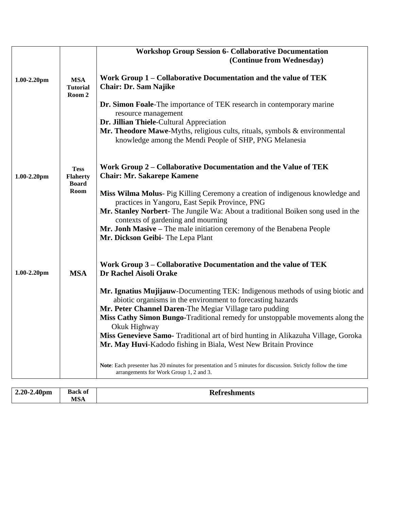|                  |                                                | <b>Workshop Group Session 6- Collaborative Documentation</b><br>(Continue from Wednesday)                                                                                        |
|------------------|------------------------------------------------|----------------------------------------------------------------------------------------------------------------------------------------------------------------------------------|
| $1.00 - 2.20$ pm | <b>MSA</b><br><b>Tutorial</b><br>Room 2        | Work Group 1 – Collaborative Documentation and the value of TEK<br><b>Chair: Dr. Sam Najike</b>                                                                                  |
|                  |                                                | Dr. Simon Foale-The importance of TEK research in contemporary marine<br>resource management                                                                                     |
|                  |                                                | Dr. Jillian Thiele-Cultural Appreciation<br>Mr. Theodore Mawe-Myths, religious cults, rituals, symbols & environmental<br>knowledge among the Mendi People of SHP, PNG Melanesia |
| $1.00 - 2.20$ pm | <b>Tess</b><br><b>Flaherty</b><br><b>Board</b> | Work Group 2 – Collaborative Documentation and the Value of TEK<br><b>Chair: Mr. Sakarepe Kamene</b>                                                                             |
|                  | Room                                           | Miss Wilma Molus- Pig Killing Ceremony a creation of indigenous knowledge and<br>practices in Yangoru, East Sepik Province, PNG                                                  |
|                  |                                                | Mr. Stanley Norbert- The Jungile Wa: About a traditional Boiken song used in the<br>contexts of gardening and mourning                                                           |
|                  |                                                | Mr. Jonh Masive - The male initiation ceremony of the Benabena People<br>Mr. Dickson Geibi- The Lepa Plant                                                                       |
| $1.00 - 2.20$ pm | <b>MSA</b>                                     | Work Group 3 – Collaborative Documentation and the value of TEK<br><b>Dr Rachel Aisoli Orake</b>                                                                                 |
|                  |                                                | Mr. Ignatius Mujijauw-Documenting TEK: Indigenous methods of using biotic and<br>abiotic organisms in the environment to forecasting hazards                                     |
|                  |                                                | Mr. Peter Channel Daren-The Megiar Village taro pudding<br>Miss Cathy Simon Bungo-Traditional remedy for unstoppable movements along the<br>Okuk Highway                         |
|                  |                                                | Miss Genevieve Samo- Traditional art of bird hunting in Alikazuha Village, Goroka<br>Mr. May Huvi-Kadodo fishing in Biala, West New Britain Province                             |
|                  |                                                | Note: Each presenter has 20 minutes for presentation and 5 minutes for discussion. Strictly follow the time<br>arrangements for Work Group 1, 2 and 3.                           |

| $2.20 - 2.40$ pm<br>- | $\mathbf{a}$<br>Back of | <b>Refreshments</b> |
|-----------------------|-------------------------|---------------------|
|                       | <b>IC I</b><br>WIJA.    |                     |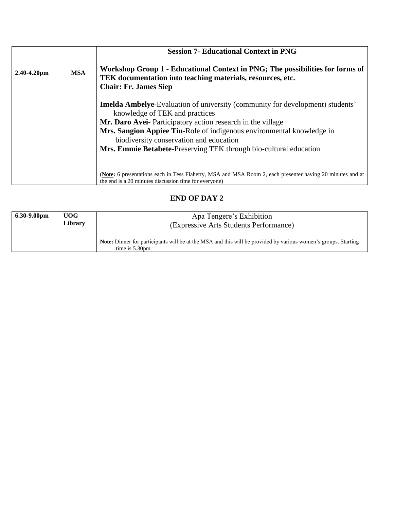|                  |            | <b>Session 7- Educational Context in PNG</b>                                                                                                                                |
|------------------|------------|-----------------------------------------------------------------------------------------------------------------------------------------------------------------------------|
| $2.40 - 4.20$ pm | <b>MSA</b> | Workshop Group 1 - Educational Context in PNG; The possibilities for forms of<br>TEK documentation into teaching materials, resources, etc.<br><b>Chair: Fr. James Siep</b> |
|                  |            | <b>Imelda Ambelye-Evaluation of university (community for development) students'</b><br>knowledge of TEK and practices                                                      |
|                  |            | Mr. Daro Avei- Participatory action research in the village                                                                                                                 |
|                  |            | Mrs. Sangion Appiee Tiu-Role of indigenous environmental knowledge in<br>biodiversity conservation and education                                                            |
|                  |            | Mrs. Emmie Betabete-Preserving TEK through bio-cultural education                                                                                                           |
|                  |            |                                                                                                                                                                             |
|                  |            | (Note: 6 presentations each in Tess Flaherty, MSA and MSA Room 2, each presenter having 20 minutes and at<br>the end is a 20 minutes discussion time for everyone)          |

## **END OF DAY 2**

| $6.30 - 9.00$ pm | UOG<br>Library | Apa Tengere's Exhibition<br>(Expressive Arts Students Performance)                                                                        |
|------------------|----------------|-------------------------------------------------------------------------------------------------------------------------------------------|
|                  |                | <b>Note:</b> Dinner for participants will be at the MSA and this will be provided by various women's groups. Starting<br>time is $5.30pm$ |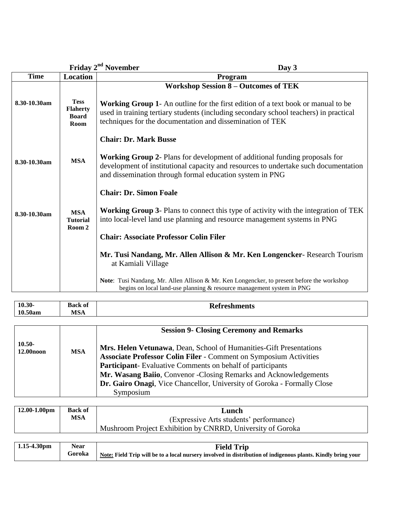|              |                                                        | Friday 2 <sup>nd</sup> November<br>Day 3                                                                                                                                                                                                      |
|--------------|--------------------------------------------------------|-----------------------------------------------------------------------------------------------------------------------------------------------------------------------------------------------------------------------------------------------|
| <b>Time</b>  | <b>Location</b>                                        | Program                                                                                                                                                                                                                                       |
|              |                                                        | <b>Workshop Session 8 - Outcomes of TEK</b>                                                                                                                                                                                                   |
| 8.30-10.30am | <b>Tess</b><br><b>Flaherty</b><br><b>Board</b><br>Room | <b>Working Group 1-</b> An outline for the first edition of a text book or manual to be<br>used in training tertiary students (including secondary school teachers) in practical<br>techniques for the documentation and dissemination of TEK |
|              |                                                        | <b>Chair: Dr. Mark Busse</b>                                                                                                                                                                                                                  |
| 8.30-10.30am | <b>MSA</b>                                             | <b>Working Group 2-</b> Plans for development of additional funding proposals for<br>development of institutional capacity and resources to undertake such documentation<br>and dissemination through formal education system in PNG          |
|              |                                                        | <b>Chair: Dr. Simon Foale</b>                                                                                                                                                                                                                 |
| 8.30-10.30am | <b>MSA</b><br><b>Tutorial</b><br>Room 2                | <b>Working Group 3-</b> Plans to connect this type of activity with the integration of TEK<br>into local-level land use planning and resource management systems in PNG                                                                       |
|              |                                                        | <b>Chair: Associate Professor Colin Filer</b>                                                                                                                                                                                                 |
|              |                                                        | Mr. Tusi Nandang, Mr. Allen Allison & Mr. Ken Longencker- Research Tourism<br>at Kamiali Village                                                                                                                                              |
|              |                                                        | Note: Tusi Nandang, Mr. Allen Allison & Mr. Ken Longencker, to present before the workshop<br>begins on local land-use planning & resource management system in PNG                                                                           |

| Kefreshments | $10.30 -$<br>10.50am | <b>Back of</b><br>MSA | <u>та</u> |
|--------------|----------------------|-----------------------|-----------|
|              |                      |                       |           |

|                       |            | <b>Session 9- Closing Ceremony and Remarks</b>                           |
|-----------------------|------------|--------------------------------------------------------------------------|
| $10.50 -$             |            | Mrs. Helen Vetunawa, Dean, School of Humanities-Gift Presentations       |
| 12.00 <sub>noon</sub> | <b>MSA</b> | <b>Associate Professor Colin Filer - Comment on Symposium Activities</b> |
|                       |            | <b>Participant-</b> Evaluative Comments on behalf of participants        |
|                       |            | Mr. Wasang Baiio, Convenor - Closing Remarks and Acknowledgements        |
|                       |            | Dr. Gairo Onagi, Vice Chancellor, University of Goroka - Formally Close  |
|                       |            | Symposium                                                                |

| $12.00 - 1.00$ pm | <b>Back of</b> | Lunch                                                      |
|-------------------|----------------|------------------------------------------------------------|
|                   | MSA            | (Expressive Arts students' performance)                    |
|                   |                | Mushroom Project Exhibition by CNRRD, University of Goroka |

| $1.15 - 4.30$ pm | <b>Near</b> | <b>Field Trip</b>                                                                                            |
|------------------|-------------|--------------------------------------------------------------------------------------------------------------|
|                  | Goroka      | Note: Field Trip will be to a local nursery involved in distribution of indigenous plants. Kindly bring your |